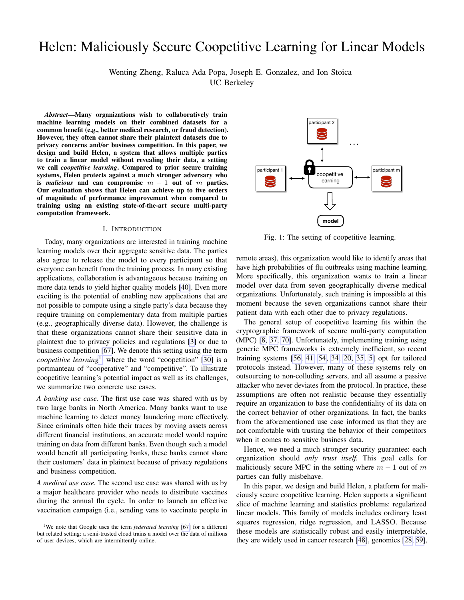# Helen: Maliciously Secure Coopetitive Learning for Linear Models

Wenting Zheng, Raluca Ada Popa, Joseph E. Gonzalez, and Ion Stoica

UC Berkeley

*Abstract*—Many organizations wish to collaboratively train machine learning models on their combined datasets for a common benefit (e.g., better medical research, or fraud detection). However, they often cannot share their plaintext datasets due to privacy concerns and/or business competition. In this paper, we design and build Helen, a system that allows multiple parties to train a linear model without revealing their data, a setting we call *coopetitive learning*. Compared to prior secure training systems, Helen protects against a much stronger adversary who is *malicious* and can compromise m − 1 out of m parties. Our evaluation shows that Helen can achieve up to five orders of magnitude of performance improvement when compared to training using an existing state-of-the-art secure multi-party computation framework.

#### I. INTRODUCTION

<span id="page-0-1"></span>Today, many organizations are interested in training machine learning models over their aggregate sensitive data. The parties also agree to release the model to every participant so that everyone can benefit from the training process. In many existing applications, collaboration is advantageous because training on more data tends to yield higher quality models [\[40\]](#page-13-0). Even more exciting is the potential of enabling new applications that are not possible to compute using a single party's data because they require training on complementary data from multiple parties (e.g., geographically diverse data). However, the challenge is that these organizations cannot share their sensitive data in plaintext due to privacy policies and regulations [\[3\]](#page-13-1) or due to business competition [\[67\]](#page-14-0). We denote this setting using the term *coopetitive learning*<sup>[1](#page-0-0)</sup>, where the word "coopetition" [\[30\]](#page-13-2) is a portmanteau of "cooperative" and "competitive". To illustrate coopetitive learning's potential impact as well as its challenges, we summarize two concrete use cases.

*A banking use case.* The first use case was shared with us by two large banks in North America. Many banks want to use machine learning to detect money laundering more effectively. Since criminals often hide their traces by moving assets across different financial institutions, an accurate model would require training on data from different banks. Even though such a model would benefit all participating banks, these banks cannot share their customers' data in plaintext because of privacy regulations and business competition.

*A medical use case.* The second use case was shared with us by a major healthcare provider who needs to distribute vaccines during the annual flu cycle. In order to launch an effective vaccination campaign (i.e., sending vans to vaccinate people in



Fig. 1: The setting of coopetitive learning.

remote areas), this organization would like to identify areas that have high probabilities of flu outbreaks using machine learning. More specifically, this organization wants to train a linear model over data from seven geographically diverse medical organizations. Unfortunately, such training is impossible at this moment because the seven organizations cannot share their patient data with each other due to privacy regulations.

The general setup of coopetitive learning fits within the cryptographic framework of secure multi-party computation (MPC) [\[8,](#page-13-3) [37,](#page-13-4) [70\]](#page-14-1). Unfortunately, implementing training using generic MPC frameworks is extremely inefficient, so recent training systems [\[56,](#page-14-2) [41,](#page-13-5) [54,](#page-14-3) [34,](#page-13-6) [20,](#page-13-7) [35,](#page-13-8) [5\]](#page-13-9) opt for tailored protocols instead. However, many of these systems rely on outsourcing to non-colluding servers, and all assume a passive attacker who never deviates from the protocol. In practice, these assumptions are often not realistic because they essentially require an organization to base the confidentiality of its data on the correct behavior of other organizations. In fact, the banks from the aforementioned use case informed us that they are not comfortable with trusting the behavior of their competitors when it comes to sensitive business data.

Hence, we need a much stronger security guarantee: each organization should *only trust itself.* This goal calls for maliciously secure MPC in the setting where  $m - 1$  out of m parties can fully misbehave.

In this paper, we design and build Helen, a platform for maliciously secure coopetitive learning. Helen supports a significant slice of machine learning and statistics problems: regularized linear models. This family of models includes ordinary least squares regression, ridge regression, and LASSO. Because these models are statistically robust and easily interpretable, they are widely used in cancer research [\[48\]](#page-13-10), genomics [\[28,](#page-13-11) [59\]](#page-14-4),

<span id="page-0-0"></span><sup>&</sup>lt;sup>1</sup>We note that Google uses the term *federated learning* [\[67\]](#page-14-0) for a different but related setting: a semi-trusted cloud trains a model over the data of millions of user devices, which are intermittently online.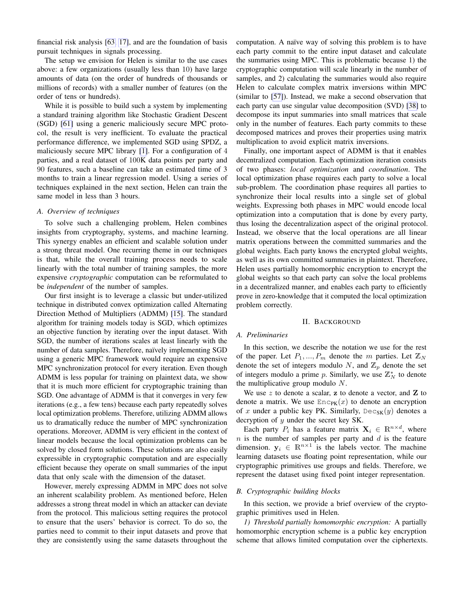financial risk analysis [\[63,](#page-14-5) [17\]](#page-13-12), and are the foundation of basis pursuit techniques in signals processing.

The setup we envision for Helen is similar to the use cases above: a few organizations (usually less than 10) have large amounts of data (on the order of hundreds of thousands or millions of records) with a smaller number of features (on the order of tens or hundreds).

While it is possible to build such a system by implementing a standard training algorithm like Stochastic Gradient Descent (SGD) [\[61\]](#page-14-6) using a generic maliciously secure MPC protocol, the result is very inefficient. To evaluate the practical performance difference, we implemented SGD using SPDZ, a maliciously secure MPC library [\[1\]](#page-13-13). For a configuration of 4 parties, and a real dataset of 100K data points per party and 90 features, such a baseline can take an estimated time of 3 months to train a linear regression model. Using a series of techniques explained in the next section, Helen can train the same model in less than 3 hours.

# *A. Overview of techniques*

To solve such a challenging problem, Helen combines insights from cryptography, systems, and machine learning. This synergy enables an efficient and scalable solution under a strong threat model. One recurring theme in our techniques is that, while the overall training process needs to scale linearly with the total number of training samples, the more expensive *cryptographic* computation can be reformulated to be *independent* of the number of samples.

Our first insight is to leverage a classic but under-utilized technique in distributed convex optimization called Alternating Direction Method of Multipliers (ADMM) [\[15\]](#page-13-14). The standard algorithm for training models today is SGD, which optimizes an objective function by iterating over the input dataset. With SGD, the number of iterations scales at least linearly with the number of data samples. Therefore, naïvely implementing SGD using a generic MPC framework would require an expensive MPC synchronization protocol for every iteration. Even though ADMM is less popular for training on plaintext data, we show that it is much more efficient for cryptographic training than SGD. One advantage of ADMM is that it converges in very few iterations (e.g., a few tens) because each party repeatedly solves local optimization problems. Therefore, utilizing ADMM allows us to dramatically reduce the number of MPC synchronization operations. Moreover, ADMM is very efficient in the context of linear models because the local optimization problems can be solved by closed form solutions. These solutions are also easily expressible in cryptographic computation and are especially efficient because they operate on small summaries of the input data that only scale with the dimension of the dataset.

However, merely expressing ADMM in MPC does not solve an inherent scalability problem. As mentioned before, Helen addresses a strong threat model in which an attacker can deviate from the protocol. This malicious setting requires the protocol to ensure that the users' behavior is correct. To do so, the parties need to commit to their input datasets and prove that they are consistently using the same datasets throughout the computation. A naïve way of solving this problem is to have each party commit to the entire input dataset and calculate the summaries using MPC. This is problematic because 1) the cryptographic computation will scale linearly in the number of samples, and 2) calculating the summaries would also require Helen to calculate complex matrix inversions within MPC (similar to [\[57\]](#page-14-7)). Instead, we make a second observation that each party can use singular value decomposition (SVD) [\[38\]](#page-13-15) to decompose its input summaries into small matrices that scale only in the number of features. Each party commits to these decomposed matrices and proves their properties using matrix multiplication to avoid explicit matrix inversions.

Finally, one important aspect of ADMM is that it enables decentralized computation. Each optimization iteration consists of two phases: *local optimization* and *coordination*. The local optimization phase requires each party to solve a local sub-problem. The coordination phase requires all parties to synchronize their local results into a single set of global weights. Expressing both phases in MPC would encode local optimization into a computation that is done by every party, thus losing the decentralization aspect of the original protocol. Instead, we observe that the local operations are all linear matrix operations between the committed summaries and the global weights. Each party knows the encrypted global weights, as well as its own committed summaries in plaintext. Therefore, Helen uses partially homomorphic encryption to encrypt the global weights so that each party can solve the local problems in a decentralized manner, and enables each party to efficiently prove in zero-knowledge that it computed the local optimization problem correctly.

#### II. BACKGROUND

#### *A. Preliminaries*

In this section, we describe the notation we use for the rest of the paper. Let  $P_1, ..., P_m$  denote the m parties. Let  $\mathbb{Z}_N$ denote the set of integers modulo N, and  $\mathbb{Z}_p$  denote the set of integers modulo a prime p. Similarly, we use  $\mathbb{Z}_N^*$  to denote the multiplicative group modulo  $N$ .

We use  $z$  to denote a scalar,  $z$  to denote a vector, and  $z$  to denote a matrix. We use  $Enc_{PK}(x)$  to denote an encryption of x under a public key PK. Similarly,  $Dec_{SK}(y)$  denotes a decryption of  $y$  under the secret key SK.

Each party  $P_i$  has a feature matrix  $\mathbf{X}_i \in \mathbb{R}^{n \times d}$ , where  $n$  is the number of samples per party and  $d$  is the feature dimension.  $y_i \in \mathbb{R}^{n \times 1}$  is the labels vector. The machine learning datasets use floating point representation, while our cryptographic primitives use groups and fields. Therefore, we represent the dataset using fixed point integer representation.

#### *B. Cryptographic building blocks*

In this section, we provide a brief overview of the cryptographic primitives used in Helen.

*1) Threshold partially homomorphic encryption:* A partially homomorphic encryption scheme is a public key encryption scheme that allows limited computation over the ciphertexts.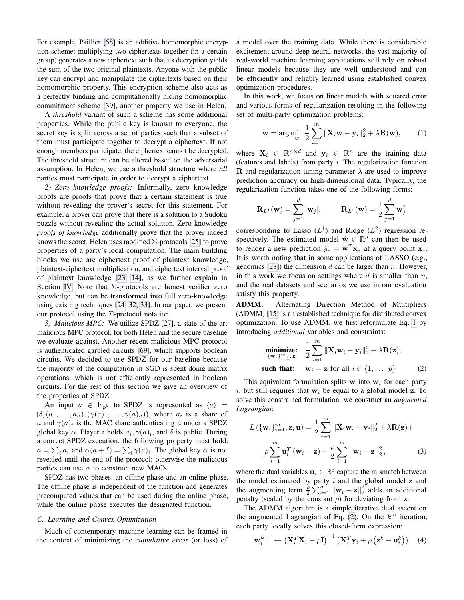For example, Paillier [\[58\]](#page-14-8) is an additive homomorphic encryption scheme: multiplying two ciphertexts together (in a certain group) generates a new ciphertext such that its decryption yields the sum of the two original plaintexts. Anyone with the public key can encrypt and manipulate the ciphertexts based on their homomorphic property. This encryption scheme also acts as a perfectly binding and computationally hiding homomorphic commitment scheme [\[39\]](#page-13-16), another property we use in Helen.

A *threshold* variant of such a scheme has some additional properties. While the public key is known to everyone, the secret key is split across a set of parties such that a subset of them must participate together to decrypt a ciphertext. If not enough members participate, the ciphertext cannot be decrypted. The threshold structure can be altered based on the adversarial assumption. In Helen, we use a threshold structure where *all* parties must participate in order to decrypt a ciphertext.

*2) Zero knowledge proofs:* Informally, zero knowledge proofs are proofs that prove that a certain statement is true without revealing the prover's secret for this statement. For example, a prover can prove that there is a solution to a Sudoku puzzle without revealing the actual solution. Zero knowledge *proofs of knowledge* additionally prove that the prover indeed knows the secret. Helen uses modified  $\Sigma$ -protocols [\[25\]](#page-13-17) to prove properties of a party's local computation. The main building blocks we use are ciphertext proof of plaintext knowledge, plaintext-ciphertext multiplication, and ciphertext interval proof of plaintext knowledge [\[23,](#page-13-18) [14\]](#page-13-19), as we further explain in Section [IV.](#page-5-0) Note that Σ-protocols are honest verifier zero knowledge, but can be transformed into full zero-knowledge using existing techniques [\[24,](#page-13-20) [32,](#page-13-21) [33\]](#page-13-22). In our paper, we present our protocol using the  $\Sigma$ -protocol notation.

*3) Malicious MPC:* We utilize SPDZ [\[27\]](#page-13-23), a state-of-the-art malicious MPC protocol, for both Helen and the secure baseline we evaluate against. Another recent malicious MPC protocol is authenticated garbled circuits [\[69\]](#page-14-9), which supports boolean circuits. We decided to use SPDZ for our baseline because the majority of the computation in SGD is spent doing matrix operations, which is not efficiently represented in boolean circuits. For the rest of this section we give an overview of the properties of SPDZ.

An input  $a \in \mathbb{F}_{p^k}$  to SPDZ is represented as  $\langle a \rangle =$  $(\delta, (a_1, \ldots, a_n), (\gamma(a)_1, \ldots, \gamma(a)_n))$ , where  $a_i$  is a share of a and  $\gamma(a)_i$  is the MAC share authenticating a under a SPDZ global key  $\alpha$ . Player *i* holds  $a_i, \gamma(a)_i$ , and  $\delta$  is public. During a correct SPDZ execution, the following property must hold:  $a = \sum_i a_i$  and  $\alpha(a + \delta) = \sum_i \gamma(a)_i$ . The global key  $\alpha$  is not revealed until the end of the protocol; otherwise the malicious parties can use  $\alpha$  to construct new MACs.

SPDZ has two phases: an offline phase and an online phase. The offline phase is independent of the function and generates precomputed values that can be used during the online phase, while the online phase executes the designated function.

# <span id="page-2-3"></span>*C. Learning and Convex Optimization*

Much of contemporary machine learning can be framed in the context of minimizing the *cumulative error* (or loss) of a model over the training data. While there is considerable excitement around deep neural networks, the vast majority of real-world machine learning applications still rely on robust linear models because they are well understood and can be efficiently and reliably learned using established convex optimization procedures.

In this work, we focus on linear models with squared error and various forms of regularization resulting in the following set of multi-party optimization problems:

<span id="page-2-0"></span>
$$
\hat{\mathbf{w}} = \arg\min_{w} \frac{1}{2} \sum_{i=1}^{m} \|\mathbf{X}_i \mathbf{w} - \mathbf{y}_i\|_2^2 + \lambda \mathbf{R}(\mathbf{w}), \quad (1)
$$

where  $X_i \in \mathbb{R}^{n \times d}$  and  $y_i \in \mathbb{R}^n$  are the training data (features and labels) from party  $i$ . The regularization function **R** and regularization tuning parameter  $\lambda$  are used to improve prediction accuracy on high-dimensional data. Typically, the regularization function takes one of the following forms:

$$
\mathbf{R}_{L^{1}}(\mathbf{w}) = \sum_{j=1}^{d} |\mathbf{w}_{j}|, \qquad \mathbf{R}_{L^{2}}(\mathbf{w}) = \frac{1}{2} \sum_{j=1}^{d} \mathbf{w}_{j}^{2}
$$

corresponding to Lasso  $(L<sup>1</sup>)$  and Ridge  $(L<sup>2</sup>)$  regression respectively. The estimated model  $\hat{\mathbf{w}} \in \mathbb{R}^d$  can then be used to render a new prediction  $\hat{y}_* = \hat{\mathbf{w}}^T \mathbf{x}_*$  at a query point  $\mathbf{x}_*$ . It is worth noting that in some applications of LASSO (e.g., genomics  $[28]$ ) the dimension d can be larger than n. However, in this work we focus on settings where  $d$  is smaller than  $n$ , and the real datasets and scenarios we use in our evaluation satisfy this property.

ADMM. Alternating Direction Method of Multipliers (ADMM) [\[15\]](#page-13-14) is an established technique for distributed convex optimization. To use ADMM, we first reformulate Eq. [1](#page-2-0) by introducing *additional* variables and constraints:

<span id="page-2-1"></span>
$$
\underset{\{\mathbf{w}_i\}_{i=1}^m, \mathbf{z}}{\text{minimize:}} \quad \frac{1}{2} \sum_{i=1}^m \|\mathbf{X}_i \mathbf{w}_i - \mathbf{y}_i\|_2^2 + \lambda \mathbf{R}(\mathbf{z}),
$$
\n
$$
\text{such that:} \quad \mathbf{w}_i = \mathbf{z} \text{ for all } i \in \{1, \dots, p\} \tag{2}
$$

This equivalent formulation splits w into  $w_i$  for each party i, but still requires that  $w_i$  be equal to a global model z. To solve this constrained formulation, we construct an *augmented Lagrangian*:

$$
L\left(\{\mathbf{w}_i\}_{i=1}^m, \mathbf{z}, \mathbf{u}\right) = \frac{1}{2} \sum_{i=1}^m \|\mathbf{X}_i \mathbf{w}_i - \mathbf{y}_i\|_2^2 + \lambda \mathbf{R}(\mathbf{z}) +
$$

$$
\rho \sum_{i=1}^m \mathbf{u}_i^T \left(\mathbf{w}_i - \mathbf{z}\right) + \frac{\rho}{2} \sum_{i=1}^m \|\mathbf{w}_i - \mathbf{z}\|_2^2, \tag{3}
$$

where the dual variables  $\mathbf{u}_i \in \mathbb{R}^d$  capture the mismatch between the model estimated by party  $i$  and the global model  $z$  and the augmenting term  $\frac{\rho}{2} \sum_{i=1}^{m} ||\mathbf{w}_i - \mathbf{z}||_2^2$  adds an additional penalty (scaled by the constant  $\rho$ ) for deviating from z.

The ADMM algorithm is a simple iterative dual ascent on the augmented Lagrangian of Eq. [\(2\)](#page-2-1). On the  $k<sup>th</sup>$  iteration, each party locally solves this closed-form expression:

<span id="page-2-2"></span>
$$
\mathbf{w}_{i}^{k+1} \leftarrow (\mathbf{X}_{i}^{T} \mathbf{X}_{i} + \rho \mathbf{I})^{-1} (\mathbf{X}_{i}^{T} \mathbf{y}_{i} + \rho (\mathbf{z}^{k} - \mathbf{u}_{i}^{k})) \quad (4)
$$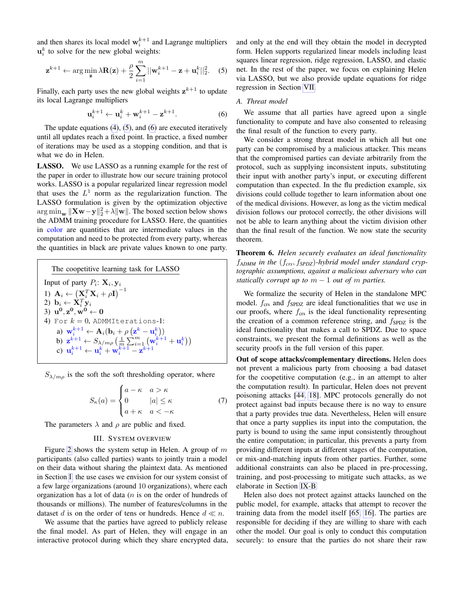and then shares its local model  $\mathbf{w}_i^{k+1}$  and Lagrange multipliers  $\mathbf{u}_i^k$  to solve for the new global weights:

$$
\mathbf{z}^{k+1} \leftarrow \arg\min_{\mathbf{z}} \lambda \mathbf{R}(\mathbf{z}) + \frac{\rho}{2} \sum_{i=1}^{m} ||\mathbf{w}_i^{k+1} - \mathbf{z} + \mathbf{u}_i^k||_2^2. \quad (5)
$$

Finally, each party uses the new global weights  $z^{k+1}$  to update its local Lagrange multipliers

$$
\mathbf{u}_i^{k+1} \leftarrow \mathbf{u}_i^k + \mathbf{w}_i^{k+1} - \mathbf{z}^{k+1}.\tag{6}
$$

The update equations [\(4\)](#page-2-2), [\(5\)](#page-3-0), and [\(6\)](#page-3-1) are executed iteratively until all updates reach a fixed point. In practice, a fixed number of iterations may be used as a stopping condition, and that is what we do in Helen.

LASSO. We use LASSO as a running example for the rest of the paper in order to illustrate how our secure training protocol works. LASSO is a popular regularized linear regression model that uses the  $L^1$  norm as the regularization function. The LASSO formulation is given by the optimization objective  $\argmin_{\mathbf{w}} \|\mathbf{X}\mathbf{w}-\mathbf{y}\|_2^2 + \lambda \|\mathbf{w}\|$ . The boxed section below shows the ADMM training procedure for LASSO. Here, the quantities in color are quantities that are intermediate values in the computation and need to be protected from every party, whereas the quantities in black are private values known to one party.

The cooperative learning task for LASSO  
\nInput of party 
$$
P_i
$$
:  $\mathbf{X}_i, \mathbf{y}_i$   
\n1)  $\mathbf{A}_i \leftarrow (\mathbf{X}_i^T \mathbf{X}_i + \rho \mathbf{I})^{-1}$   
\n2)  $\mathbf{b}_i \leftarrow \mathbf{X}_i^T \mathbf{y}_i$   
\n3)  $\mathbf{u}^0, \mathbf{z}^0, \mathbf{w}^0 \leftarrow \mathbf{0}$   
\n4) For  $k = 0$ , ADMMIterations-1:  
\na)  $\mathbf{w}_i^{k+1} \leftarrow \mathbf{A}_i(\mathbf{b}_i + \rho (\mathbf{z}^k - \mathbf{u}_i^k))$   
\nb)  $\mathbf{z}^{k+1} \leftarrow S_{\lambda/m\rho} \left(\frac{1}{m} \sum_{i=1}^m (\mathbf{w}_i^{k+1} + \mathbf{u}_i^k)\right)$   
\nc)  $\mathbf{u}_i^{k+1} \leftarrow \mathbf{u}_i^k + \mathbf{w}_i^{k+1} - \mathbf{z}^{k+1}$ 

 $S_{\lambda/m\rho}$  is the soft the soft thresholding operator, where

$$
S_{\kappa}(a) = \begin{cases} a - \kappa & a > \kappa \\ 0 & |a| \le \kappa \\ a + \kappa & a < -\kappa \end{cases}
$$
 (7)

The parameters  $\lambda$  and  $\rho$  are public and fixed.

# III. SYSTEM OVERVIEW

Figure [2](#page-4-0) shows the system setup in Helen. A group of  $m$ participants (also called parties) wants to jointly train a model on their data without sharing the plaintext data. As mentioned in Section [I,](#page-0-1) the use cases we envision for our system consist of a few large organizations (around 10 organizations), where each organization has a lot of data  $(n$  is on the order of hundreds of thousands or millions). The number of features/columns in the dataset d is on the order of tens or hundreds. Hence  $d \ll n$ .

We assume that the parties have agreed to publicly release the final model. As part of Helen, they will engage in an interactive protocol during which they share encrypted data, <span id="page-3-0"></span>and only at the end will they obtain the model in decrypted form. Helen supports regularized linear models including least squares linear regression, ridge regression, LASSO, and elastic net. In the rest of the paper, we focus on explaining Helen via LASSO, but we also provide update equations for ridge regression in Section [VII.](#page-8-0)

#### <span id="page-3-2"></span><span id="page-3-1"></span>*A. Threat model*

We assume that all parties have agreed upon a single functionality to compute and have also consented to releasing the final result of the function to every party.

We consider a strong threat model in which all but one party can be compromised by a malicious attacker. This means that the compromised parties can deviate arbitrarily from the protocol, such as supplying inconsistent inputs, substituting their input with another party's input, or executing different computation than expected. In the flu prediction example, six divisions could collude together to learn information about one of the medical divisions. However, as long as the victim medical division follows our protocol correctly, the other divisions will not be able to learn anything about the victim division other than the final result of the function. We now state the security theorem.

Theorem 6. *Helen securely evaluates an ideal functionality* f*ADMM in the* (f*crs*, f*SPDZ*)*-hybrid model under standard cryptographic assumptions, against a malicious adversary who can statically corrupt up to*  $m - 1$  *out of* m *parties.* 

We formalize the security of Helen in the standalone MPC model.  $f_{\text{crs}}$  and  $f_{\text{SPDZ}}$  are ideal functionalities that we use in our proofs, where  $f_{\text{crs}}$  is the ideal functionality representing the creation of a common reference string, and  $f_{SPDZ}$  is the ideal functionality that makes a call to SPDZ. Due to space constraints, we present the formal definitions as well as the security proofs in the full version of this paper.

Out of scope attacks/complementary directions. Helen does not prevent a malicious party from choosing a bad dataset for the coopetitive computation (e.g., in an attempt to alter the computation result). In particular, Helen does not prevent poisoning attacks [\[44,](#page-13-24) [18\]](#page-13-25). MPC protocols generally do not protect against bad inputs because there is no way to ensure that a party provides true data. Nevertheless, Helen will ensure that once a party supplies its input into the computation, the party is bound to using the same input consistently throughout the entire computation; in particular, this prevents a party from providing different inputs at different stages of the computation, or mix-and-matching inputs from other parties. Further, some additional constraints can also be placed in pre-processing, training, and post-processing to mitigate such attacks, as we elaborate in Section [IX-B.](#page-12-0)

Helen also does not protect against attacks launched on the public model, for example, attacks that attempt to recover the training data from the model itself [\[65,](#page-14-10) [16\]](#page-13-26). The parties are responsible for deciding if they are willing to share with each other the model. Our goal is only to conduct this computation securely: to ensure that the parties do not share their raw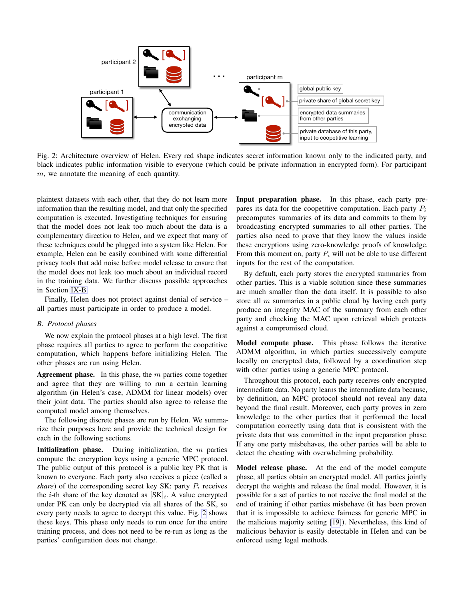

<span id="page-4-0"></span>Fig. 2: Architecture overview of Helen. Every red shape indicates secret information known only to the indicated party, and black indicates public information visible to everyone (which could be private information in encrypted form). For participant m, we annotate the meaning of each quantity.

plaintext datasets with each other, that they do not learn more information than the resulting model, and that only the specified computation is executed. Investigating techniques for ensuring that the model does not leak too much about the data is a complementary direction to Helen, and we expect that many of these techniques could be plugged into a system like Helen. For example, Helen can be easily combined with some differential privacy tools that add noise before model release to ensure that the model does not leak too much about an individual record in the training data. We further discuss possible approaches in Section [IX-B.](#page-12-0)

Finally, Helen does not protect against denial of service – all parties must participate in order to produce a model.

# *B. Protocol phases*

We now explain the protocol phases at a high level. The first phase requires all parties to agree to perform the coopetitive computation, which happens before initializing Helen. The other phases are run using Helen.

Agreement phase. In this phase, the  $m$  parties come together and agree that they are willing to run a certain learning algorithm (in Helen's case, ADMM for linear models) over their joint data. The parties should also agree to release the computed model among themselves.

The following discrete phases are run by Helen. We summarize their purposes here and provide the technical design for each in the following sections.

**Initialization phase.** During initialization, the  $m$  parties compute the encryption keys using a generic MPC protocol. The public output of this protocol is a public key PK that is known to everyone. Each party also receives a piece (called a *share*) of the corresponding secret key SK: party  $P_i$  receives the *i*-th share of the key denoted as  $[SK]_i$ . A value encrypted under PK can only be decrypted via all shares of the SK, so every party needs to agree to decrypt this value. Fig. [2](#page-4-0) shows these keys. This phase only needs to run once for the entire training process, and does not need to be re-run as long as the parties' configuration does not change.

Input preparation phase. In this phase, each party prepares its data for the coopetitive computation. Each party  $P_i$ precomputes summaries of its data and commits to them by broadcasting encrypted summaries to all other parties. The parties also need to prove that they know the values inside these encryptions using zero-knowledge proofs of knowledge. From this moment on, party  $P_i$  will not be able to use different inputs for the rest of the computation.

By default, each party stores the encrypted summaries from other parties. This is a viable solution since these summaries are much smaller than the data itself. It is possible to also store all  $m$  summaries in a public cloud by having each party produce an integrity MAC of the summary from each other party and checking the MAC upon retrieval which protects against a compromised cloud.

Model compute phase. This phase follows the iterative ADMM algorithm, in which parties successively compute locally on encrypted data, followed by a coordination step with other parties using a generic MPC protocol.

Throughout this protocol, each party receives only encrypted intermediate data. No party learns the intermediate data because, by definition, an MPC protocol should not reveal any data beyond the final result. Moreover, each party proves in zero knowledge to the other parties that it performed the local computation correctly using data that is consistent with the private data that was committed in the input preparation phase. If any one party misbehaves, the other parties will be able to detect the cheating with overwhelming probability.

Model release phase. At the end of the model compute phase, all parties obtain an encrypted model. All parties jointly decrypt the weights and release the final model. However, it is possible for a set of parties to not receive the final model at the end of training if other parties misbehave (it has been proven that it is impossible to achieve fairness for generic MPC in the malicious majority setting [\[19\]](#page-13-27)). Nevertheless, this kind of malicious behavior is easily detectable in Helen and can be enforced using legal methods.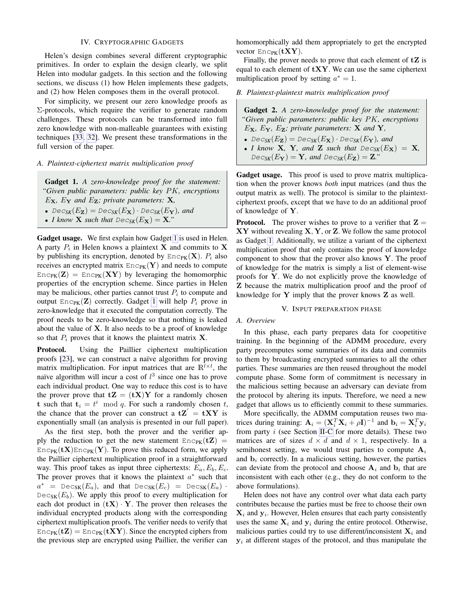# IV. CRYPTOGRAPHIC GADGETS

<span id="page-5-0"></span>Helen's design combines several different cryptographic primitives. In order to explain the design clearly, we split Helen into modular gadgets. In this section and the following sections, we discuss (1) how Helen implements these gadgets, and (2) how Helen composes them in the overall protocol.

For simplicity, we present our zero knowledge proofs as  $\Sigma$ -protocols, which require the verifier to generate random challenges. These protocols can be transformed into full zero knowledge with non-malleable guarantees with existing techniques [\[33,](#page-13-22) [32\]](#page-13-21). We present these transformations in the full version of the paper.

#### *A. Plaintext-ciphertext matrix multiplication proof*

<span id="page-5-1"></span>Gadget 1. *A zero-knowledge proof for the statement: "Given public parameters: public key* PK*, encryptions*  $E_{\mathbf{X}}$ *,*  $E_{\mathbf{Y}}$  and  $E_{\mathbf{Z}}$ *; private parameters:* **X***,* 

- $Dec_{SK}(E_{\mathbf{Z}}) = Dec_{SK}(E_{\mathbf{X}}) \cdot Dec_{SK}(E_{\mathbf{Y}})$ *, and*
- *I know* **X** such that  $Dec_{SK}(E_{\mathbf{X}}) = \mathbf{X}$ ."

Gadget usage. We first explain how Gadget [1](#page-5-1) is used in Helen. A party  $P_i$  in Helen knows a plaintext **X** and commits to **X** by publishing its encryption, denoted by  $\text{Enc}_{PK}(\mathbf{X})$ .  $P_i$  also receives an encrypted matrix  $Enc_{PK}(Y)$  and needs to compute  $Enc_{PK}(Z) = Enc_{PK}(XY)$  by leveraging the homomorphic properties of the encryption scheme. Since parties in Helen may be malicious, other parties cannot trust  $P_i$  to compute and output  $\text{Enc}_{PK}(\mathbf{Z})$  correctly. Gadget [1](#page-5-1) will help  $P_i$  prove in zero-knowledge that it executed the computation correctly. The proof needs to be zero-knowledge so that nothing is leaked about the value of  $X$ . It also needs to be a proof of knowledge so that  $P_i$  proves that it knows the plaintext matrix **X**.

Protocol. Using the Paillier ciphertext multiplication proofs [\[23\]](#page-13-18), we can construct a naïve algorithm for proving matrix multiplication. For input matrices that are  $\mathbb{R}^{\bar{l} \times l}$ , the naïve algorithm will incur a cost of  $l^3$  since one has to prove each individual product. One way to reduce this cost is to have the prover prove that  $tZ = (tX)Y$  for a randomly chosen t such that  $t_i = t^i \mod q$ . For such a randomly chosen t, the chance that the prover can construct a  $tZ' = tXY$  is exponentially small (an analysis is presented in our full paper).

As the first step, both the prover and the verifier apply the reduction to get the new statement  $Enc_{PK}(\mathbf{tZ}) =$  $Enc_{PK}(\mathbf{t} \mathbf{X})Enc_{PK}(\mathbf{Y})$ . To prove this reduced form, we apply the Paillier ciphertext multiplication proof in a straightforward way. This proof takes as input three ciphertexts:  $E_a$ ,  $E_b$ ,  $E_c$ . The prover proves that it knows the plaintext  $a^*$  such that  $a^*$  = Dec<sub>SK</sub>( $E_a$ ), and that Dec<sub>SK</sub>( $E_c$ ) = Dec<sub>SK</sub>( $E_a$ ) ·  $Dec_{SK}(E_b)$ . We apply this proof to every multiplication for each dot product in  $(tX) \cdot Y$ . The prover then releases the individual encrypted products along with the corresponding ciphertext multiplication proofs. The verifier needs to verify that  $Enc_{PK}(\mathbf{tZ}) = Enc_{PK}(\mathbf{tXY})$ . Since the encrypted ciphers from the previous step are encrypted using Paillier, the verifier can

homomorphically add them appropriately to get the encrypted vector  $Enc_{PK}(\mathbf{tXY})$ .

Finally, the prover needs to prove that each element of  $tZ$  is equal to each element of  $\mathbf{tXY}$ . We can use the same ciphertext multiplication proof by setting  $a^* = 1$ .

*B. Plaintext-plaintext matrix multiplication proof*

<span id="page-5-2"></span>Gadget 2. *A zero-knowledge proof for the statement: "Given public parameters: public key* PK*, encryptions* EX*,* EY*,* EZ*; private parameters:* X *and* Y*,* •  $Dec_{SK}(E_{\mathbf{Z}}) = Dec_{SK}(E_{\mathbf{X}}) \cdot Dec_{SK}(E_{\mathbf{Y}})$ *, and* • *I know* **X**, **Y**, and **Z** such that  $Dec_{SK}(E_{\mathbf{X}}) = \mathbf{X}$ ,

 $Dec_{\mathit{SK}}(E_{\mathbf{Y}}) = \mathbf{Y}$ *, and*  $Dec_{\mathit{SK}}(E_{\mathbf{Z}}) = \mathbf{Z}.$ *"* 

Gadget usage. This proof is used to prove matrix multiplication when the prover knows *both* input matrices (and thus the output matrix as well). The protocol is similar to the plaintextciphertext proofs, except that we have to do an additional proof of knowledge of Y.

**Protocol.** The prover wishes to prove to a verifier that  $\mathbf{Z} =$  $XY$  without revealing  $X, Y$ , or  $Z$ . We follow the same protocol as Gadget [1.](#page-5-1) Additionally, we utilize a variant of the ciphertext multiplication proof that only contains the proof of knowledge component to show that the prover also knows Y. The proof of knowledge for the matrix is simply a list of element-wise proofs for Y. We do not explicitly prove the knowledge of Z because the matrix multiplication proof and the proof of knowledge for  $Y$  imply that the prover knows  $Z$  as well.

#### V. INPUT PREPARATION PHASE

### *A. Overview*

In this phase, each party prepares data for coopetitive training. In the beginning of the ADMM procedure, every party precomputes some summaries of its data and commits to them by broadcasting encrypted summaries to all the other parties. These summaries are then reused throughout the model compute phase. Some form of commitment is necessary in the malicious setting because an adversary can deviate from the protocol by altering its inputs. Therefore, we need a new gadget that allows us to efficiently commit to these summaries.

More specifically, the ADMM computation reuses two matrices during training:  $\mathbf{A}_i = (\mathbf{X}_i^T \mathbf{X}_i + \rho \mathbf{I})^{-1}$  and  $\mathbf{b}_i = \mathbf{X}_i^T \mathbf{y}_i$ from party  $i$  (see Section [II-C](#page-2-3) for more details). These two matrices are of sizes  $d \times d$  and  $d \times 1$ , respectively. In a semihonest setting, we would trust parties to compute  $A_i$ and  $\mathbf{b}_i$  correctly. In a malicious setting, however, the parties can deviate from the protocol and choose  $A_i$  and  $b_i$  that are inconsistent with each other (e.g., they do not conform to the above formulations).

Helen does not have any control over what data each party contributes because the parties must be free to choose their own  $\mathbf{X}_i$  and  $\mathbf{y}_i$ . However, Helen ensures that each party consistently uses the same  $X_i$  and  $y_i$  during the entire protocol. Otherwise, malicious parties could try to use different/inconsistent  $X_i$  and  $y_i$  at different stages of the protocol, and thus manipulate the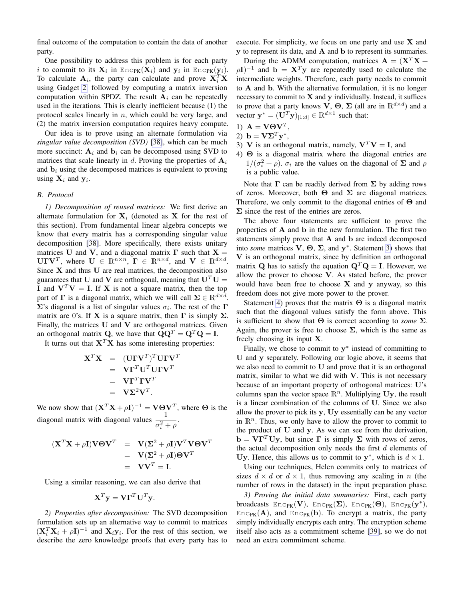final outcome of the computation to contain the data of another party.

One possibility to address this problem is for each party i to commit to its  $\mathbf{X}_i$  in  $\text{Enc}_{\text{PK}}(\mathbf{X}_i)$  and  $\mathbf{y}_i$  in  $\text{Enc}_{\text{PK}}(\mathbf{y}_i)$ . To calculate  $\mathbf{A}_i$ , the party can calculate and prove  $\mathbf{X}_i^T \mathbf{X}$ using Gadget [2,](#page-5-2) followed by computing a matrix inversion computation within SPDZ. The result  $A_i$  can be repeatedly used in the iterations. This is clearly inefficient because (1) the protocol scales linearly in  $n$ , which could be very large, and (2) the matrix inversion computation requires heavy compute.

Our idea is to prove using an alternate formulation via *singular value decomposition (SVD)* [\[38\]](#page-13-15), which can be much more succinct:  $A_i$  and  $b_i$  can be decomposed using SVD to matrices that scale linearly in d. Proving the properties of  $A_i$ and  $\mathbf{b}_i$  using the decomposed matrices is equivalent to proving using  $X_i$  and  $y_i$ .

# *B. Protocol*

*1) Decomposition of reused matrices:* We first derive an alternate formulation for  $X_i$  (denoted as X for the rest of this section). From fundamental linear algebra concepts we know that every matrix has a corresponding singular value decomposition [\[38\]](#page-13-15). More specifically, there exists unitary matrices U and V, and a diagonal matrix  $\Gamma$  such that  $X =$ UΓV<sup>T</sup>, where  $U \in \mathbb{R}^{n \times n}$ ,  $\Gamma \in \mathbb{R}^{n \times d}$ , and  $V \in \mathbb{R}^{d \times d}$ . Since  $X$  and thus  $U$  are real matrices, the decomposition also guarantees that U and V are orthogonal, meaning that  $U^T U =$ I and  $V^T V = I$ . If X is not a square matrix, then the top part of  $\Gamma$  is a diagonal matrix, which we will call  $\Sigma \in \mathbb{R}^{d \times d}$ .  $\Sigma$ 's diagonal is a list of singular values  $\sigma_i$ . The rest of the  $\Gamma$ matrix are 0's. If **X** is a square matrix, then  $\Gamma$  is simply  $\Sigma$ . Finally, the matrices  $U$  and  $V$  are orthogonal matrices. Given an orthogonal matrix Q, we have that  $\mathbf{Q}\mathbf{Q}^T = \mathbf{Q}^T\mathbf{Q} = \mathbf{I}$ .

It turns out that  $X^T X$  has some interesting properties:

$$
\mathbf{X}^T \mathbf{X} = (\mathbf{U} \mathbf{I} \mathbf{V}^T)^T \mathbf{U} \mathbf{I} \mathbf{V}^T
$$
  
=  $\mathbf{V} \mathbf{I}^T \mathbf{U}^T \mathbf{U} \mathbf{I} \mathbf{V}^T$   
=  $\mathbf{V} \mathbf{I}^T \mathbf{I} \mathbf{V}^T$   
=  $\mathbf{V} \mathbf{\Sigma}^2 \mathbf{V}^T$ .

We now show that  $(X^T X + \rho I)^{-1} = V \Theta V^T$ , where  $\Theta$  is the diagonal matrix with diagonal values  $\frac{1}{\sigma_i^2 + \rho}$ .

$$
(\mathbf{X}^T \mathbf{X} + \rho \mathbf{I}) \mathbf{V} \Theta \mathbf{V}^T = \mathbf{V} (\mathbf{\Sigma}^2 + \rho \mathbf{I}) \mathbf{V}^T \mathbf{V} \Theta \mathbf{V}^T
$$
  
=  $\mathbf{V} (\mathbf{\Sigma}^2 + \rho \mathbf{I}) \Theta \mathbf{V}^T$   
=  $\mathbf{V} \mathbf{V}^T = \mathbf{I}.$ 

Using a similar reasoning, we can also derive that

$$
\mathbf{X}^T \mathbf{y} = \mathbf{V} \mathbf{\Gamma}^T \mathbf{U}^T \mathbf{y}.
$$

*2) Properties after decomposition:* The SVD decomposition formulation sets up an alternative way to commit to matrices  $(X_i^T X_i + \rho I)^{-1}$  and  $X_i y_i$ . For the rest of this section, we describe the zero knowledge proofs that every party has to

execute. For simplicity, we focus on one party and use  $X$  and y to represent its data, and A and b to represent its summaries.

During the ADMM computation, matrices  $\mathbf{A} = (\mathbf{X}^T \mathbf{X} + \mathbf{X}^T \mathbf{X})$  $\rho I)^{-1}$  and  $b = X^T y$  are repeatedly used to calculate the intermediate weights. Therefore, each party needs to commit to A and b. With the alternative formulation, it is no longer necessary to commit to  $X$  and  $y$  individually. Instead, it suffices to prove that a party knows  $V$ ,  $\Theta$ ,  $\Sigma$  (all are in  $\mathbb{R}^{d \times d}$ ) and a vector  $\mathbf{y}^* = (\mathbf{U}^T \mathbf{y})_{[1:d]} \in \mathbb{R}^{d \times 1}$  such that:

- 1)  $\mathbf{A} = \mathbf{V}\mathbf{\Theta}\mathbf{V}^T$ ,
- 2) **b** =  $\mathbf{V}\mathbf{\Sigma}^T\mathbf{y}^*$ ,
- <span id="page-6-0"></span>3) V is an orthogonal matrix, namely,  $V^T V = I$ , and
- <span id="page-6-1"></span>4) Θ is a diagonal matrix where the diagonal entries are  $1/(\sigma_i^2 + \rho)$ .  $\sigma_i$  are the values on the diagonal of  $\Sigma$  and  $\rho$ is a public value.

Note that  $\Gamma$  can be readily derived from  $\Sigma$  by adding rows of zeros. Moreover, both  $\Theta$  and  $\Sigma$  are diagonal matrices. Therefore, we only commit to the diagonal entries of Θ and  $\Sigma$  since the rest of the entries are zeros.

The above four statements are sufficient to prove the properties of A and b in the new formulation. The first two statements simply prove that A and b are indeed decomposed into *some* matrices  $V$ ,  $\Theta$ ,  $\Sigma$ , and  $y^*$ . Statement [3\)](#page-6-0) shows that V is an orthogonal matrix, since by definition an orthogonal matrix Q has to satisfy the equation  $\mathbf{Q}^T \mathbf{Q} = \mathbf{I}$ . However, we allow the prover to choose V. As stated before, the prover would have been free to choose  $X$  and  $y$  anyway, so this freedom does not give more power to the prover.

Statement [4\)](#page-6-1) proves that the matrix  $\Theta$  is a diagonal matrix such that the diagonal values satisfy the form above. This is sufficient to show that  $\Theta$  is correct according to *some*  $\Sigma$ . Again, the prover is free to choose  $\Sigma$ , which is the same as freely choosing its input X.

Finally, we chose to commit to  $y^*$  instead of committing to U and y separately. Following our logic above, it seems that we also need to commit to U and prove that it is an orthogonal matrix, similar to what we did with  $V$ . This is not necessary because of an important property of orthogonal matrices: U's columns span the vector space  $\mathbb{R}^n$ . Multiplying Uy, the result is a linear combination of the columns of U. Since we also allow the prover to pick its y, Uy essentially can be any vector in  $\mathbb{R}^n$ . Thus, we only have to allow the prover to commit to the product of U and y. As we can see from the derivation,  $\mathbf{b} = \mathbf{V}\mathbf{\Gamma}^T\mathbf{U}\mathbf{y}$ , but since  $\mathbf{\Gamma}$  is simply  $\mathbf{\Sigma}$  with rows of zeros, the actual decomposition only needs the first  $d$  elements of Uy. Hence, this allows us to commit to  $y^*$ , which is  $d \times 1$ .

Using our techniques, Helen commits only to matrices of sizes  $d \times d$  or  $d \times 1$ , thus removing any scaling in n (the number of rows in the dataset) in the input preparation phase.

*3) Proving the initial data summaries:* First, each party broadcasts  $\text{Enc}_{\text{PK}}(\mathbf{V}), \text{ Enc}_{\text{PK}}(\mathbf{\Sigma}), \text{ Enc}_{\text{PK}}(\mathbf{\Theta}), \text{ Enc}_{\text{PK}}(\mathbf{y}^{*}),$  $Enc_{PK}(A)$ , and  $Enc_{PK}(b)$ . To encrypt a matrix, the party simply individually encrypts each entry. The encryption scheme itself also acts as a commitment scheme [\[39\]](#page-13-16), so we do not need an extra commitment scheme.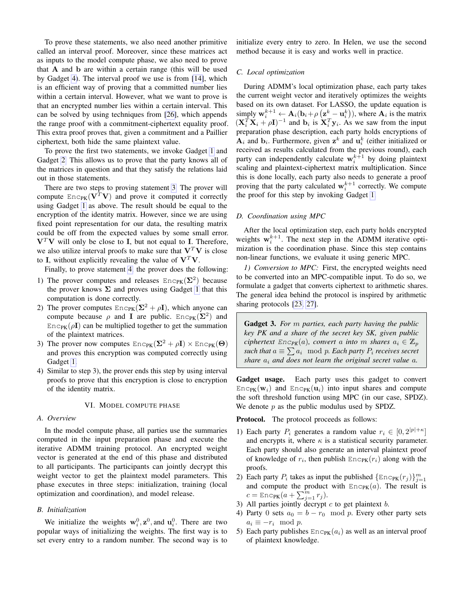To prove these statements, we also need another primitive called an interval proof. Moreover, since these matrices act as inputs to the model compute phase, we also need to prove that A and b are within a certain range (this will be used by Gadget [4\)](#page-8-1). The interval proof we use is from [\[14\]](#page-13-19), which is an efficient way of proving that a committed number lies within a certain interval. However, what we want to prove is that an encrypted number lies within a certain interval. This can be solved by using techniques from [\[26\]](#page-13-28), which appends the range proof with a commitment-ciphertext equality proof. This extra proof proves that, given a commitment and a Paillier ciphertext, both hide the same plaintext value.

To prove the first two statements, we invoke Gadget [1](#page-5-1) and Gadget [2.](#page-5-2) This allows us to prove that the party knows all of the matrices in question and that they satisfy the relations laid out in those statements.

There are two steps to proving statement [3.](#page-6-0) The prover will compute  $\text{Enc}_{PK}(\mathbf{V}^T \mathbf{V})$  and prove it computed it correctly using Gadget [1](#page-5-1) as above. The result should be equal to the encryption of the identity matrix. However, since we are using fixed point representation for our data, the resulting matrix could be off from the expected values by some small error.  $V<sup>T</sup>V$  will only be close to I, but not equal to I. Therefore, we also utilize interval proofs to make sure that  $V^T V$  is close to I, without explicitly revealing the value of  $V^T V$ .

Finally, to prove statement [4,](#page-6-1) the prover does the following:

- 1) The prover computes and releases  $Enc_{PK}(\Sigma^2)$  because the prover knows  $\Sigma$  and proves using Gadget [1](#page-5-1) that this computation is done correctly.
- 2) The prover computes  $Enc_{PK}(\Sigma^2 + \rho I)$ , which anyone can compute because  $\rho$  and I are public. Enc<sub>PK</sub>( $\Sigma^2$ ) and  $Enc_{PK}(\rho I)$  can be multiplied together to get the summation of the plaintext matrices.
- 3) The prover now computes  $Enc_{PK}(\Sigma^2 + \rho I) \times Enc_{PK}(\Theta)$ and proves this encryption was computed correctly using Gadget [1.](#page-5-1)
- 4) Similar to step 3), the prover ends this step by using interval proofs to prove that this encryption is close to encryption of the identity matrix.

#### VI. MODEL COMPUTE PHASE

# *A. Overview*

In the model compute phase, all parties use the summaries computed in the input preparation phase and execute the iterative ADMM training protocol. An encrypted weight vector is generated at the end of this phase and distributed to all participants. The participants can jointly decrypt this weight vector to get the plaintext model parameters. This phase executes in three steps: initialization, training (local optimization and coordination), and model release.

#### *B. Initialization*

We initialize the weights  $w_i^0$ ,  $z^0$ , and  $u_i^0$ . There are two popular ways of initializing the weights. The first way is to set every entry to a random number. The second way is to

initialize every entry to zero. In Helen, we use the second method because it is easy and works well in practice.

# *C. Local optimization*

During ADMM's local optimization phase, each party takes the current weight vector and iteratively optimizes the weights based on its own dataset. For LASSO, the update equation is simply  $\mathbf{w}_i^{k+1} \leftarrow \mathbf{A}_i(\mathbf{b}_i + \rho\left(\mathbf{z}_-^k - \mathbf{u}_i^k\right))$ , where  $\mathbf{A}_i$  is the matrix  $(\mathbf{X}_i^T \mathbf{X}_i + \rho \mathbf{I})^{-1}$  and  $\mathbf{b}_i$  is  $\mathbf{X}_i^T \mathbf{y}_i$ . As we saw from the input preparation phase description, each party holds encryptions of  $A_i$  and  $b_i$ . Furthermore, given  $z^k$  and  $u_i^k$  (either initialized or received as results calculated from the previous round), each party can independently calculate  $w_i^{k+1}$  by doing plaintext scaling and plaintext-ciphertext matrix multiplication. Since this is done locally, each party also needs to generate a proof proving that the party calculated  $\mathbf{w}_i^{k+1}$  correctly. We compute the proof for this step by invoking Gadget [1.](#page-5-1)

## *D. Coordination using MPC*

After the local optimization step, each party holds encrypted weights  $w_i^{k+1}$ . The next step in the ADMM iterative optimization is the coordination phase. Since this step contains non-linear functions, we evaluate it using generic MPC.

*1) Conversion to MPC:* First, the encrypted weights need to be converted into an MPC-compatible input. To do so, we formulate a gadget that converts ciphertext to arithmetic shares. The general idea behind the protocol is inspired by arithmetic sharing protocols [\[23,](#page-13-18) [27\]](#page-13-23).

<span id="page-7-0"></span>Gadget 3. *For* m *parties, each party having the public key PK and a share of the secret key SK, given public ciphertext*  $Enc_{PK}(a)$ *, convert* a *into* m *shares*  $a_i \in \mathbb{Z}_p$  $\mathit{such~that~} a \equiv \sum a_i \mod p.$  Each party  $P_i$  receives secret *share*  $a_i$  *and does not learn the original secret value*  $a_i$ *.* 

Gadget usage. Each party uses this gadget to convert  $Enc_{PK}(\mathbf{w}_i)$  and  $Enc_{PK}(\mathbf{u}_i)$  into input shares and compute the soft threshold function using MPC (in our case, SPDZ). We denote  $p$  as the public modulus used by SPDZ.

Protocol. The protocol proceeds as follows:

- 1) Each party  $P_i$  generates a random value  $r_i \in [0, 2^{|p| + \kappa}]$ and encrypts it, where  $\kappa$  is a statistical security parameter. Each party should also generate an interval plaintext proof of knowledge of  $r_i$ , then publish  $\text{Enc}_{PK}(r_i)$  along with the proofs.
- 2) Each party  $P_i$  takes as input the published  $\{\text{Enc}_{PK}(r_j)\}_{j=1}^m$ and compute the product with  $Enc_{PK}(a)$ . The result is  $c = \text{Enc}_{\text{PK}}(a + \sum_{j=1}^{m} r_j).$
- 3) All parties jointly decrypt  $c$  to get plaintext  $b$ .
- 4) Party 0 sets  $a_0 = b r_0 \mod p$ . Every other party sets  $a_i \equiv -r_i \mod p$ .
- 5) Each party publishes  $Enc_{PK}(a_i)$  as well as an interval proof of plaintext knowledge.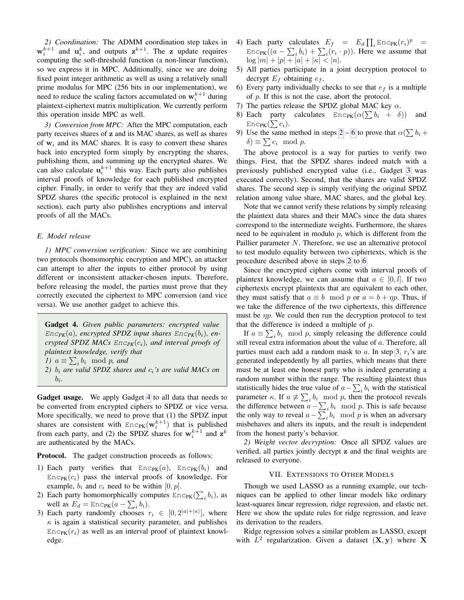*2) Coordination:* The ADMM coordination step takes in  $\mathbf{w}_i^{k+1}$  and  $\mathbf{u}_i^k$ , and outputs  $\mathbf{z}^{k+1}$ . The z update requires computing the soft-threshold function (a non-linear function), so we express it in MPC. Additionally, since we are doing fixed point integer arithmetic as well as using a relatively small prime modulus for MPC (256 bits in our implementation), we need to reduce the scaling factors accumulated on  $\mathbf{w}_i^{k+1}$  during plaintext-ciphertext matrix multiplication. We currently perform this operation inside MPC as well.

*3) Conversion from MPC:* After the MPC computation, each party receives shares of z and its MAC shares, as well as shares of  $w_i$  and its MAC shares. It is easy to convert these shares back into encrypted form simply by encrypting the shares, publishing them, and summing up the encrypted shares. We can also calculate  $\mathbf{u}_i^{k+1}$  this way. Each party also publishes interval proofs of knowledge for each published encrypted cipher. Finally, in order to verify that they are indeed valid SPDZ shares (the specific protocol is explained in the next section), each party also publishes encryptions and interval proofs of all the MACs.

# *E. Model release*

*1) MPC conversion verification:* Since we are combining two protocols (homomorphic encryption and MPC), an attacker can attempt to alter the inputs to either protocol by using different or inconsistent attacker-chosen inputs. Therefore, before releasing the model, the parties must prove that they correctly executed the ciphertext to MPC conversion (and vice versa). We use another gadget to achieve this.

<span id="page-8-1"></span>Gadget 4. *Given public parameters: encrypted value*  $Enc_{PK}(a)$ *, encrypted SPDZ input shares*  $Enc_{PK}(b_i)$ *, encrypted SPDZ MACs*  $Enc_{PK}(c_i)$ *, and interval proofs of plaintext knowledge, verify that 1*)  $a \equiv \sum_i b_i \mod p$ , and *2)* b<sup>i</sup> *are valid SPDZ shares and* ci*'s are valid MACs on* bi *.*

Gadget usage. We apply Gadget [4](#page-8-1) to all data that needs to be converted from encrypted ciphers to SPDZ or vice versa. More specifically, we need to prove that (1) the SPDZ input shares are consistent with  $Enc_{PK}(\mathbf{w}_i^{k+1})$  that is published from each party, and (2) the SPDZ shares for  $w_i^{k+1}$  and  $z^k$ are authenticated by the MACs.

**Protocol.** The gadget construction proceeds as follows:

- 1) Each party verifies that  $Enc_{PK}(a)$ ,  $Enc_{PK}(b_i)$  and  $Enc_{PK}(c_i)$  pass the interval proofs of knowledge. For example,  $b_i$  and  $c_i$  need to be within  $[0, p]$ .
- <span id="page-8-2"></span>2) Each party homomorphically computes  $Enc_{PK}(\sum_i b_i)$ , as well as  $E_d = \text{Enc}_{\text{PK}}(a - \sum_i b_i)$ .
- <span id="page-8-4"></span>3) Each party randomly chooses  $r_i \in [0, 2^{|a|+|\kappa|}]$ , where  $\kappa$  is again a statistical security parameter, and publishes  $Enc_{PK}(r_i)$  as well as an interval proof of plaintext knowledge.
- 4) Each party calculates  $E_f = E_d \prod_i \text{Enc}_{PK}(r_i)^p =$  $Enc<sub>PK</sub>((a - \sum_i b_i) + \sum_i (r_i \cdot p))$ . Here we assume that  $\log |m| + |p| + |a| + |\kappa| < |n|.$
- 5) All parties participate in a joint decryption protocol to decrypt  $E_f$  obtaining  $e_f$ .
- <span id="page-8-3"></span>6) Every party individually checks to see that  $e_f$  is a multiple of p. If this is not the case, abort the protocol.
- 7) The parties release the SPDZ global MAC key  $\alpha$ .
- 8) Each party calculates  $\text{Enc}_{PK}(\alpha(\sum b_i + \delta))$  and Enc $_{\rm PK}(\sum c_i).$
- 9) Use the same method in steps [2](#page-8-2) – [6](#page-8-3) to prove that  $\alpha(\sum b_i +$  $\delta$ )  $\equiv \sum c_i \mod p$ .

The above protocol is a way for parties to verify two things. First, that the SPDZ shares indeed match with a previously published encrypted value (i.e., Gadget [3](#page-7-0) was executed correctly). Second, that the shares are valid SPDZ shares. The second step is simply verifying the original SPDZ relation among value share, MAC shares, and the global key.

Note that we cannot verify these relations by simply releasing the plaintext data shares and their MACs since the data shares correspond to the intermediate weights. Furthermore, the shares need to be equivalent in modulo  $p$ , which is different from the Paillier parameter N. Therefore, we use an alternative protocol to test modulo equality between two ciphertexts, which is the procedure described above in steps [2](#page-8-2) to [6.](#page-8-3)

Since the encrypted ciphers come with interval proofs of plaintext knowledge, we can assume that  $a \in [0, l]$ . If two ciphertexts encrypt plaintexts that are equivalent to each other, they must satisfy that  $a \equiv b \mod p$  or  $a = b + \eta p$ . Thus, if we take the difference of the two ciphertexts, this difference must be  $\eta p$ . We could then run the decryption protocol to test that the difference is indeed a multiple of  $p$ .

If  $a \equiv \sum_i b_i \mod p$ , simply releasing the difference could still reveal extra information about the value of a. Therefore, all parties must each add a random mask to a. In step [3,](#page-8-4)  $r_i$ 's are generated independently by all parties, which means that there must be at least one honest party who is indeed generating a random number within the range. The resulting plaintext thus statistically hides the true value of  $a - \sum_i b_i$  with the statistical parameter  $\kappa$ . If  $a \not\equiv \sum_i b_i \mod p$ , then the protocol reveals the difference between  $a - \sum_i b_i \mod p$ . This is safe because the only way to reveal  $a - \sum_i b_i \mod p$  is when an adversary misbehaves and alters its inputs, and the result is independent from the honest party's behavior.

*2) Weight vector decryption:* Once all SPDZ values are verified, all parties jointly decrypt z and the final weights are released to everyone.

### VII. EXTENSIONS TO OTHER MODELS

<span id="page-8-0"></span>Though we used LASSO as a running example, our techniques can be applied to other linear models like ordinary least-squares linear regression, ridge regression, and elastic net. Here we show the update rules for ridge regression, and leave its derivation to the readers.

Ridge regression solves a similar problem as LASSO, except with  $L^2$  regularization. Given a dataset  $(X, y)$  where X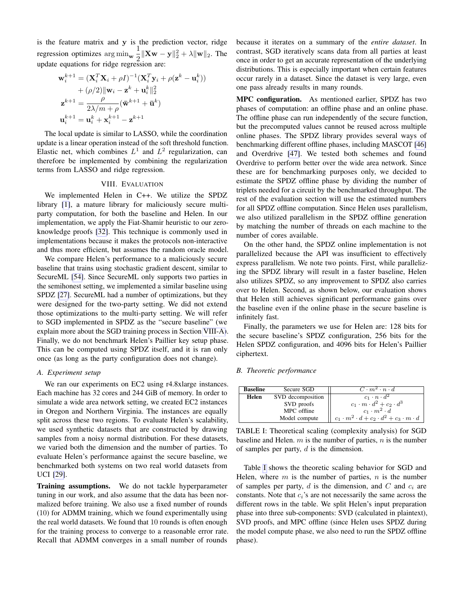is the feature matrix and  $y$  is the prediction vector, ridge regression optimizes  $\arg \min_{\mathbf{w}} \frac{1}{2}$  $\frac{1}{2} \|\mathbf{X}\mathbf{w} - \mathbf{y}\|_2^2 + \lambda \|\mathbf{w}\|_2$ . The update equations for ridge regression are:

$$
\mathbf{w}_i^{k+1} = (\mathbf{X}_i^T \mathbf{X}_i + \rho I)^{-1} (\mathbf{X}_i^T \mathbf{y}_i + \rho (\mathbf{z}^k - \mathbf{u}_i^k))
$$
  
+  $(\rho/2) ||\mathbf{w}_i - \mathbf{z}^k + \mathbf{u}_i^k||_2^2$   

$$
\mathbf{z}^{k+1} = \frac{\rho}{2\lambda/m + \rho} (\mathbf{\bar{w}}^{k+1} + \mathbf{\bar{u}}^k)
$$
  

$$
\mathbf{u}_i^{k+1} = \mathbf{u}_i^k + \mathbf{x}_i^{k+1} - \mathbf{z}^{k+1}
$$

The local update is similar to LASSO, while the coordination update is a linear operation instead of the soft threshold function. Elastic net, which combines  $L^1$  and  $L^2$  regularization, can therefore be implemented by combining the regularization terms from LASSO and ridge regression.

# VIII. EVALUATION

We implemented Helen in C++. We utilize the SPDZ library [\[1\]](#page-13-13), a mature library for maliciously secure multiparty computation, for both the baseline and Helen. In our implementation, we apply the Fiat-Shamir heuristic to our zeroknowledge proofs [\[32\]](#page-13-21). This technique is commonly used in implementations because it makes the protocols non-interactive and thus more efficient, but assumes the random oracle model.

We compare Helen's performance to a maliciously secure baseline that trains using stochastic gradient descent, similar to SecureML [\[54\]](#page-14-3). Since SecureML only supports two parties in the semihonest setting, we implemented a similar baseline using SPDZ [\[27\]](#page-13-23). SecureML had a number of optimizations, but they were designed for the two-party setting. We did not extend those optimizations to the multi-party setting. We will refer to SGD implemented in SPDZ as the "secure baseline" (we explain more about the SGD training process in Section [VIII-A\)](#page-9-0). Finally, we do not benchmark Helen's Paillier key setup phase. This can be computed using SPDZ itself, and it is ran only once (as long as the party configuration does not change).

### <span id="page-9-0"></span>*A. Experiment setup*

We ran our experiments on EC2 using r4.8xlarge instances. Each machine has 32 cores and 244 GiB of memory. In order to simulate a wide area network setting, we created EC2 instances in Oregon and Northern Virginia. The instances are equally split across these two regions. To evaluate Helen's scalability, we used synthetic datasets that are constructed by drawing samples from a noisy normal distribution. For these datasets, we varied both the dimension and the number of parties. To evaluate Helen's performance against the secure baseline, we benchmarked both systems on two real world datasets from UCI [\[29\]](#page-13-29).

Training assumptions. We do not tackle hyperparameter tuning in our work, and also assume that the data has been normalized before training. We also use a fixed number of rounds (10) for ADMM training, which we found experimentally using the real world datasets. We found that 10 rounds is often enough for the training process to converge to a reasonable error rate. Recall that ADMM converges in a small number of rounds

because it iterates on a summary of the *entire dataset*. In contrast, SGD iteratively scans data from all parties at least once in order to get an accurate representation of the underlying distributions. This is especially important when certain features occur rarely in a dataset. Since the dataset is very large, even one pass already results in many rounds.

MPC configuration. As mentioned earlier, SPDZ has two phases of computation: an offline phase and an online phase. The offline phase can run independently of the secure function, but the precomputed values cannot be reused across multiple online phases. The SPDZ library provides several ways of benchmarking different offline phases, including MASCOT [\[46\]](#page-13-30) and Overdrive [\[47\]](#page-13-31). We tested both schemes and found Overdrive to perform better over the wide area network. Since these are for benchmarking purposes only, we decided to estimate the SPDZ offline phase by dividing the number of triplets needed for a circuit by the benchmarked throughput. The rest of the evaluation section will use the estimated numbers for all SPDZ offline computation. Since Helen uses parallelism, we also utilized parallelism in the SPDZ offline generation by matching the number of threads on each machine to the number of cores available.

On the other hand, the SPDZ online implementation is not parallelized because the API was insufficient to effectively express parallelism. We note two points. First, while parallelizing the SPDZ library will result in a faster baseline, Helen also utilizes SPDZ, so any improvement to SPDZ also carries over to Helen. Second, as shown below, our evaluation shows that Helen still achieves significant performance gains over the baseline even if the online phase in the secure baseline is infinitely fast.

Finally, the parameters we use for Helen are: 128 bits for the secure baseline's SPDZ configuration, 256 bits for the Helen SPDZ configuration, and 4096 bits for Helen's Paillier ciphertext.

# *B. Theoretic performance*

| <b>Baseline</b> | Secure SGD        | $C \cdot m^2 \cdot n \cdot d$                                 |
|-----------------|-------------------|---------------------------------------------------------------|
| Helen           | SVD decomposition | $c_1 \cdot n \cdot d^2$                                       |
|                 | SVD proofs        | $c_1 \cdot m \cdot d^2 + c_2 \cdot d^3$                       |
|                 | MPC offline       | $c_1 \cdot m^2 \cdot d$                                       |
|                 | Model compute     | $c_1 \cdot m^2 \cdot d + c_2 \cdot d^2 + c_3 \cdot m \cdot d$ |

<span id="page-9-1"></span>TABLE I: Theoretical scaling (complexity analysis) for SGD baseline and Helen.  $m$  is the number of parties,  $n$  is the number of samples per party,  $d$  is the dimension.

Table [I](#page-9-1) shows the theoretic scaling behavior for SGD and Helen, where  $m$  is the number of parties,  $n$  is the number of samples per party,  $d$  is the dimension, and  $C$  and  $c_i$  are constants. Note that  $c_i$ 's are not necessarily the same across the different rows in the table. We split Helen's input preparation phase into three sub-components: SVD (calculated in plaintext), SVD proofs, and MPC offline (since Helen uses SPDZ during the model compute phase, we also need to run the SPDZ offline phase).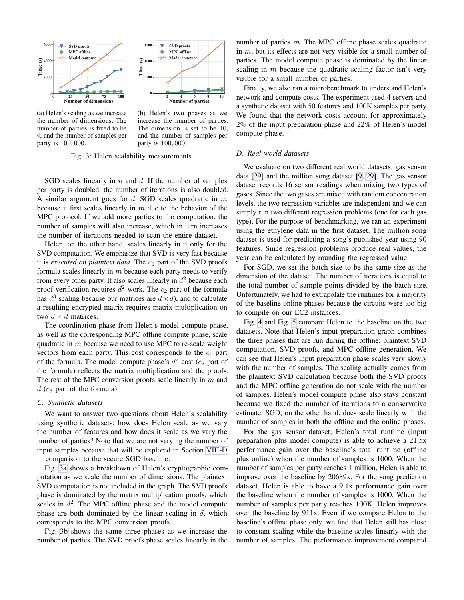



<span id="page-10-1"></span>(a) Helen's scaling as we increase the number of dimensions. The number of parties is fixed to be 4, and the number of samples per party is 100, 000.

<span id="page-10-2"></span>(b) Helen's two phases as we increase the number of parties. The dimension is set to be 10, and the number of samples per party is 100, 000.

Fig. 3: Helen scalability measurements.

SGD scales linearly in  $n$  and  $d$ . If the number of samples per party is doubled, the number of iterations is also doubled. A similar argument goes for  $d$ . SGD scales quadratic in  $m$ because it first scales linearly in  $m$  due to the behavior of the MPC protocol. If we add more parties to the computation, the number of samples will also increase, which in turn increases the number of iterations needed to scan the entire dataset.

Helen, on the other hand, scales linearly in  $n$  only for the SVD computation. We emphasize that SVD is very fast because it is *executed on plaintext data*. The  $c_1$  part of the SVD proofs formula scales linearly in  $m$  because each party needs to verify from every other party. It also scales linearly in  $d^2$  because each proof verification requires  $d^2$  work. The  $c_2$  part of the formula has  $d^3$  scaling because our matrices are  $d \times d$ ), and to calculate a resulting encrypted matrix requires matrix multiplication on two  $d \times d$  matrices.

The coordination phase from Helen's model compute phase, as well as the corresponding MPC offline compute phase, scale quadratic in  $m$  because we need to use MPC to re-scale weight vectors from each party. This cost corresponds to the  $c_1$  part of the formula. The model compute phase's  $d^2$  cost ( $c_2$  part of the formula) reflects the matrix multiplication and the proofs. The rest of the MPC conversion proofs scale linearly in  $m$  and  $d$  ( $c_3$  part of the formula).

#### *C. Synthetic datasets*

We want to answer two questions about Helen's scalability using synthetic datasets: how does Helen scale as we vary the number of features and how does it scale as we vary the number of parties? Note that we are not varying the number of input samples because that will be explored in Section [VIII-D](#page-10-0) in comparison to the secure SGD baseline.

Fig. [3a](#page-10-1) shows a breakdown of Helen's cryptographic computation as we scale the number of dimensions. The plaintext SVD computation is not included in the graph. The SVD proofs phase is dominated by the matrix multiplication proofs, which scales in  $d^2$ . The MPC offline phase and the model compute phase are both dominated by the linear scaling in  $d$ , which corresponds to the MPC conversion proofs.

Fig. [3b](#page-10-2) shows the same three phases as we increase the number of parties. The SVD proofs phase scales linearly in the number of parties m. The MPC offline phase scales quadratic in m, but its effects are not very visible for a small number of parties. The model compute phase is dominated by the linear scaling in  $m$  because the quadratic scaling factor isn't very visible for a small number of parties.

Finally, we also ran a microbenchmark to understand Helen's network and compute costs. The experiment used 4 servers and a synthetic dataset with 50 features and 100K samples per party. We found that the network costs account for approximately 2% of the input preparation phase and 22% of Helen's model compute phase.

## <span id="page-10-0"></span>*D. Real world datasets*

We evaluate on two different real world datasets: gas sensor data [\[29\]](#page-13-29) and the million song dataset [\[9,](#page-13-32) [29\]](#page-13-29). The gas sensor dataset records 16 sensor readings when mixing two types of gases. Since the two gases are mixed with random concentration levels, the two regression variables are independent and we can simply run two different regression problems (one for each gas type). For the purpose of benchmarking, we ran an experiment using the ethylene data in the first dataset. The million song dataset is used for predicting a song's published year using 90 features. Since regression problems produce real values, the year can be calculated by rounding the regressed value.

For SGD, we set the batch size to be the same size as the dimension of the dataset. The number of iterations is equal to the total number of sample points divided by the batch size. Unfortunately, we had to extrapolate the runtimes for a majority of the baseline online phases because the circuits were too big to compile on our EC2 instances.

Fig. [4](#page-11-0) and Fig. [5](#page-11-1) compare Helen to the baseline on the two datasets. Note that Helen's input preparation graph combines the three phases that are run during the offline: plaintext SVD computation, SVD proofs, and MPC offline generation. We can see that Helen's input preparation phase scales very slowly with the number of samples. The scaling actually comes from the plaintext SVD calculation because both the SVD proofs and the MPC offline generation do not scale with the number of samples. Helen's model compute phase also stays constant because we fixed the number of iterations to a conservative estimate. SGD, on the other hand, does scale linearly with the number of samples in both the offline and the online phases.

For the gas sensor dataset, Helen's total runtime (input preparation plus model compute) is able to achieve a 21.5x performance gain over the baseline's total runtime (offline plus online) when the number of samples is 1000. When the number of samples per party reaches 1 million, Helen is able to improve over the baseline by 20689x. For the song prediction dataset, Helen is able to have a 9.1x performance gain over the baseline when the number of samples is 1000. When the number of samples per party reaches 100K, Helen improves over the baseline by 911x. Even if we compare Helen to the baseline's offline phase only, we find that Helen still has close to constant scaling while the baseline scales linearly with the number of samples. The performance improvement compared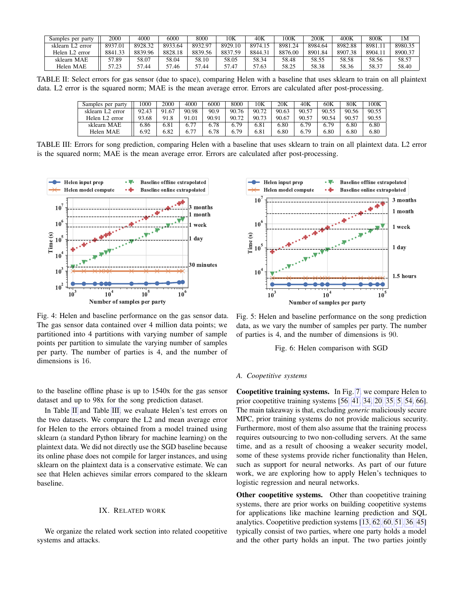| Samples per party          | 2000    | 4000    | 6000    | 8000        | 10K     | 40K     | 00K     | 200K    | 400K    | 800K   | 1М      |
|----------------------------|---------|---------|---------|-------------|---------|---------|---------|---------|---------|--------|---------|
| sklearn L2<br>error        | 8937.01 | 8928.32 | 8933.64 | 8932.97     | 8929.10 | 8974.15 | 8981.24 | 8984.64 | 8982.88 | 8981.1 | 8980.35 |
| Helen L <sub>2</sub> error | 8841.33 | 8839.96 | 8828.18 | 8839.56     | 8837.59 | 8844.31 | 8876.00 | 8901.84 | 8907.38 | 8904.1 | 8900.37 |
| sklearn MAE                | 57.89   | 58.07   | 58.04   | 58.10       | 58.05   | 58.34   | 58.48   | 58.55   | 58.58   | 58.56  | 58.57   |
| Helen MAE                  | 57.23   | 44. /   | .46     | 57<br>44.7د | 57.47   | 57.63   | 58.25   | 58.38   | 58.36   | 58.37  | 58.40   |

TABLE II: Select errors for gas sensor (due to space), comparing Helen with a baseline that uses sklearn to train on all plaintext data. L2 error is the squared norm; MAE is the mean average error. Errors are calculated after post-processing.

<span id="page-11-3"></span><span id="page-11-2"></span>

| Samples per party            | 000   | 2000  | 4000  | 6000  | 8000  | 10K   | 20K   | 40K   | 60K   | 80K   | 00K   |
|------------------------------|-------|-------|-------|-------|-------|-------|-------|-------|-------|-------|-------|
| sklearn L <sub>2</sub> error | 9243  | 91.67 | 90.98 | 90.9  | 90.76 | 90.72 | 90.63 | 90.57 | 90.55 | 90.56 | 90.55 |
| Helen L <sub>2</sub> error   | 93.68 | 91.8  | 91.01 | 90.91 | 90.72 | 90.73 | 90.67 | 90.57 | 90.54 | 90.57 | 90.55 |
| sklearn MAE                  | 6.86  | 6.81  |       | 6.78  | 6.79  | 6.81  | 6.80  | 6.79  | 6.79  | 6.80  | 6.80  |
| Helen MAE                    | 6.92  | 6.82  | 77    | 6.78  | 6.79  | 6.81  | 6.80  | 6.79  | 6.80  | 6.80  | 6.80  |

TABLE III: Errors for song prediction, comparing Helen with a baseline that uses sklearn to train on all plaintext data. L2 error is the squared norm; MAE is the mean average error. Errors are calculated after post-processing.



<span id="page-11-0"></span>Fig. 4: Helen and baseline performance on the gas sensor data. The gas sensor data contained over 4 million data points; we partitioned into 4 partitions with varying number of sample points per partition to simulate the varying number of samples per party. The number of parties is 4, and the number of dimensions is 16.

to the baseline offline phase is up to 1540x for the gas sensor dataset and up to 98x for the song prediction dataset.

In Table [II](#page-11-2) and Table [III,](#page-11-3) we evaluate Helen's test errors on the two datasets. We compare the L2 and mean average error for Helen to the errors obtained from a model trained using sklearn (a standard Python library for machine learning) on the plaintext data. We did not directly use the SGD baseline because its online phase does not compile for larger instances, and using sklearn on the plaintext data is a conservative estimate. We can see that Helen achieves similar errors compared to the sklearn baseline.

# IX. RELATED WORK

We organize the related work section into related coopetitive systems and attacks.



<span id="page-11-1"></span>Fig. 5: Helen and baseline performance on the song prediction data, as we vary the number of samples per party. The number of parties is 4, and the number of dimensions is 90.

Fig. 6: Helen comparison with SGD

#### *A. Coopetitive systems*

Coopetitive training systems. In Fig. [7,](#page-12-1) we compare Helen to prior coopetitive training systems [\[56,](#page-14-2) [41,](#page-13-5) [34,](#page-13-6) [20,](#page-13-7) [35,](#page-13-8) [5,](#page-13-9) [54,](#page-14-3) [66\]](#page-14-11). The main takeaway is that, excluding *generic* maliciously secure MPC, prior training systems do not provide malicious security. Furthermore, most of them also assume that the training process requires outsourcing to two non-colluding servers. At the same time, and as a result of choosing a weaker security model, some of these systems provide richer functionality than Helen, such as support for neural networks. As part of our future work, we are exploring how to apply Helen's techniques to logistic regression and neural networks.

Other coopetitive systems. Other than coopetitive training systems, there are prior works on building coopetitive systems for applications like machine learning prediction and SQL analytics. Coopetitive prediction systems [\[13,](#page-13-33) [62,](#page-14-12) [60,](#page-14-13) [51,](#page-14-14) [36,](#page-13-34) [45\]](#page-13-35) typically consist of two parties, where one party holds a model and the other party holds an input. The two parties jointly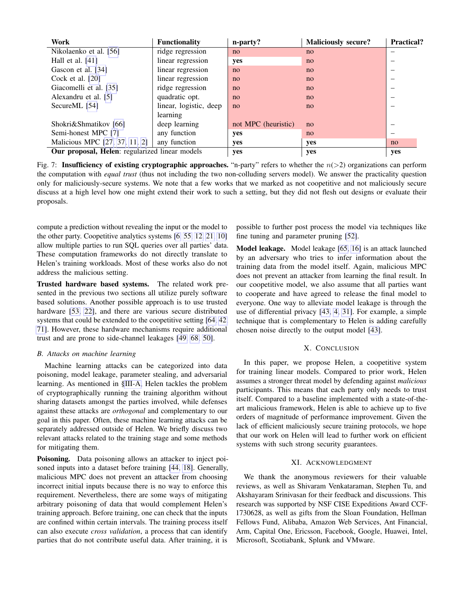| Work                                           | <b>Functionality</b>   | n-party?            | <b>Maliciously secure?</b> | <b>Practical?</b> |
|------------------------------------------------|------------------------|---------------------|----------------------------|-------------------|
| Nikolaenko et al. [56]                         | ridge regression       | no                  | no                         |                   |
| Hall et al. $[41]$                             | linear regression      | yes                 | no                         |                   |
| Gascon et al. [34]                             | linear regression      | no                  | no                         |                   |
| Cock et al. $[20]$                             | linear regression      | no                  | no                         | -                 |
| Giacomelli et al. [35]                         | ridge regression       | no                  | no                         |                   |
| Alexandru et al. [5]                           | quadratic opt.         | no                  | no                         | -                 |
| SecureML [54]                                  | linear, logistic, deep | no                  | no                         |                   |
|                                                | learning               |                     |                            |                   |
| Shokri&Shmatikov [66]                          | deep learning          | not MPC (heuristic) | no                         |                   |
| Semi-honest MPC [7]                            | any function           | yes                 | no                         |                   |
| Malicious MPC [27, 37, 11, 2]                  | any function           | yes                 | yes                        | no                |
| Our proposal, Helen: regularized linear models |                        | yes                 | yes                        | yes               |

<span id="page-12-1"></span>Fig. 7: Insufficiency of existing cryptographic approaches. "n-party" refers to whether the  $n(>2)$  organizations can perform the computation with *equal trust* (thus not including the two non-colluding servers model). We answer the practicality question only for maliciously-secure systems. We note that a few works that we marked as not coopetitive and not maliciously secure discuss at a high level how one might extend their work to such a setting, but they did not flesh out designs or evaluate their proposals.

compute a prediction without revealing the input or the model to the other party. Coopetitive analytics systems [\[6,](#page-13-39) [55,](#page-14-15) [12,](#page-13-40) [21,](#page-13-41) [10\]](#page-13-42) allow multiple parties to run SQL queries over all parties' data. These computation frameworks do not directly translate to Helen's training workloads. Most of these works also do not address the malicious setting.

Trusted hardware based systems. The related work presented in the previous two sections all utilize purely software based solutions. Another possible approach is to use trusted hardware [\[53,](#page-14-16) [22\]](#page-13-43), and there are various secure distributed systems that could be extended to the coopetitive setting [\[64,](#page-14-17) [42,](#page-13-44) [71\]](#page-14-18). However, these hardware mechanisms require additional trust and are prone to side-channel leakages [\[49,](#page-14-19) [68,](#page-14-20) [50\]](#page-14-21).

# <span id="page-12-0"></span>*B. Attacks on machine learning*

Machine learning attacks can be categorized into data poisoning, model leakage, parameter stealing, and adversarial learning. As mentioned in [§III-A,](#page-3-2) Helen tackles the problem of cryptographically running the training algorithm without sharing datasets amongst the parties involved, while defenses against these attacks are *orthogonal* and complementary to our goal in this paper. Often, these machine learning attacks can be separately addressed outside of Helen. We briefly discuss two relevant attacks related to the training stage and some methods for mitigating them.

Poisoning. Data poisoning allows an attacker to inject poisoned inputs into a dataset before training [\[44,](#page-13-24) [18\]](#page-13-25). Generally, malicious MPC does not prevent an attacker from choosing incorrect initial inputs because there is no way to enforce this requirement. Nevertheless, there are some ways of mitigating arbitrary poisoning of data that would complement Helen's training approach. Before training, one can check that the inputs are confined within certain intervals. The training process itself can also execute *cross validation*, a process that can identify parties that do not contribute useful data. After training, it is

possible to further post process the model via techniques like fine tuning and parameter pruning [\[52\]](#page-14-22).

Model leakage. Model leakage [\[65,](#page-14-10) [16\]](#page-13-26) is an attack launched by an adversary who tries to infer information about the training data from the model itself. Again, malicious MPC does not prevent an attacker from learning the final result. In our coopetitive model, we also assume that all parties want to cooperate and have agreed to release the final model to everyone. One way to alleviate model leakage is through the use of differential privacy [\[43,](#page-13-45) [4,](#page-13-46) [31\]](#page-13-47). For example, a simple technique that is complementary to Helen is adding carefully chosen noise directly to the output model [\[43\]](#page-13-45).

# X. CONCLUSION

In this paper, we propose Helen, a coopetitive system for training linear models. Compared to prior work, Helen assumes a stronger threat model by defending against *malicious* participants. This means that each party only needs to trust itself. Compared to a baseline implemented with a state-of-theart malicious framework, Helen is able to achieve up to five orders of magnitude of performance improvement. Given the lack of efficient maliciously secure training protocols, we hope that our work on Helen will lead to further work on efficient systems with such strong security guarantees.

# XI. ACKNOWLEDGMENT

We thank the anonymous reviewers for their valuable reviews, as well as Shivaram Venkataraman, Stephen Tu, and Akshayaram Srinivasan for their feedback and discussions. This research was supported by NSF CISE Expeditions Award CCF-1730628, as well as gifts from the Sloan Foundation, Hellman Fellows Fund, Alibaba, Amazon Web Services, Ant Financial, Arm, Capital One, Ericsson, Facebook, Google, Huawei, Intel, Microsoft, Scotiabank, Splunk and VMware.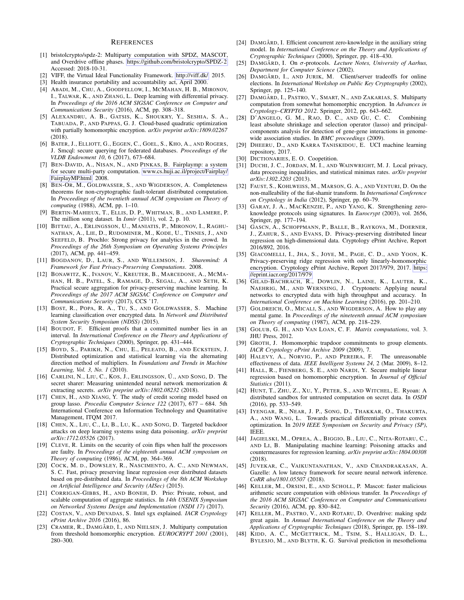#### **REFERENCES**

- <span id="page-13-13"></span>[1] bristolcrypto/spdz-2: Multiparty computation with SPDZ, MASCOT, and Overdrive offline phases. [https://github.com/bristolcrypto/SPDZ-2.](https://github.com/bristolcrypto/SPDZ-2) Accessed: 2018-10-31.
- <span id="page-13-38"></span>[2] VIFF, the Virtual Ideal Functionality Framework. [http://viff.dk/,](http://viff.dk/) 2015.
- <span id="page-13-1"></span>[3] Health insurance portability and accountability act, April 2000.
- <span id="page-13-46"></span>[4] ABADI, M., CHU, A., GOODFELLOW, I., MCMAHAN, H. B., MIRONOV, I., TALWAR, K., AND ZHANG, L. Deep learning with differential privacy. In *Proceedings of the 2016 ACM SIGSAC Conference on Computer and Communications Security* (2016), ACM, pp. 308–318.
- <span id="page-13-9"></span>[5] ALEXANDRU, A. B., GATSIS, K., SHOUKRY, Y., SESHIA, S. A., TABUADA, P., AND PAPPAS, G. J. Cloud-based quadratic optimization with partially homomorphic encryption. *arXiv preprint arXiv:1809.02267* (2018).
- <span id="page-13-39"></span>[6] BATER, J., ELLIOTT, G., EGGEN, C., GOEL, S., KHO, A., AND ROGERS, J. Smcql: secure querying for federated databases. *Proceedings of the VLDB Endowment 10*, 6 (2017), 673–684.
- <span id="page-13-36"></span>[7] BEN-DAVID, A., NISAN, N., AND PINKAS, B. Fairplaymp: a system for secure multi-party computation. [www.cs.huji.ac.il/project/Fairplay/](www.cs.huji.ac.il/project/Fairplay/FairplayMP.html) [FairplayMP.html,](www.cs.huji.ac.il/project/Fairplay/FairplayMP.html) 2008.
- <span id="page-13-3"></span>[8] BEN-OR, M., GOLDWASSER, S., AND WIGDERSON, A. Completeness theorems for non-cryptographic fault-tolerant distributed computation. In *Proceedings of the twentieth annual ACM symposium on Theory of computing* (1988), ACM, pp. 1–10.
- <span id="page-13-32"></span>[9] BERTIN-MAHIEUX, T., ELLIS, D. P., WHITMAN, B., AND LAMERE, P. The million song dataset. In *Ismir* (2011), vol. 2, p. 10.
- <span id="page-13-42"></span>[10] BITTAU, A., ERLINGSSON, U., MANIATIS, P., MIRONOV, I., RAGHU-NATHAN, A., LIE, D., RUDOMINER, M., KODE, U., TINNES, J., AND SEEFELD, B. Prochlo: Strong privacy for analytics in the crowd. In *Proceedings of the 26th Symposium on Operating Systems Principles* (2017), ACM, pp. 441–459.
- <span id="page-13-37"></span>[11] BOGDANOV, D., LAUR, S., AND WILLEMSON, J. *Sharemind: A Framework for Fast Privacy-Preserving Computations*. 2008.
- <span id="page-13-40"></span>[12] BONAWITZ, K., IVANOV, V., KREUTER, B., MARCEDONE, A., MCMA-HAN, H. B., PATEL, S., RAMAGE, D., SEGAL, A., AND SETH, K. Practical secure aggregation for privacy-preserving machine learning. In *Proceedings of the 2017 ACM SIGSAC Conference on Computer and Communications Security* (2017), CCS '17.
- <span id="page-13-33"></span>[13] BOST, R., POPA, R. A., TU, S., AND GOLDWASSER, S. Machine learning classification over encrypted data. In *Network and Distributed System Security Symposium (NDSS)* (2015).
- <span id="page-13-19"></span>[14] BOUDOT, F. Efficient proofs that a committed number lies in an interval. In *International Conference on the Theory and Applications of Cryptographic Techniques* (2000), Springer, pp. 431–444.
- <span id="page-13-14"></span>[15] BOYD, S., PARIKH, N., CHU, E., PELEATO, B., AND ECKSTEIN, J. Distributed optimization and statistical learning via the alternating direction method of multipliers. In *Foundations and Trends in Machine Learning, Vol. 3, No. 1* (2010).
- <span id="page-13-26"></span>[16] CARLINI, N., LIU, C., KOS, J., ERLINGSSON,  $\acute{U}$ ., AND SONG, D. The secret sharer: Measuring unintended neural network memorization & extracting secrets. *arXiv preprint arXiv:1802.08232* (2018).
- <span id="page-13-12"></span>[17] CHEN, H., AND XIANG, Y. The study of credit scoring model based on group lasso. *Procedia Computer Science 122* (2017), 677 – 684. 5th International Conference on Information Technology and Quantitative Management, ITQM 2017.
- <span id="page-13-25"></span>[18] CHEN, X., LIU, C., LI, B., LU, K., AND SONG, D. Targeted backdoor attacks on deep learning systems using data poisoning. *arXiv preprint arXiv:1712.05526* (2017).
- <span id="page-13-27"></span>[19] CLEVE, R. Limits on the security of coin flips when half the processors are faulty. In *Proceedings of the eighteenth annual ACM symposium on Theory of computing* (1986), ACM, pp. 364–369.
- <span id="page-13-7"></span>[20] COCK, M. D., DOWSLEY, R., NASCIMENTO, A. C., AND NEWMAN, S. C. Fast, privacy preserving linear regression over distributed datasets based on pre-distributed data. In *Proceedings of the 8th ACM Workshop on Artificial Intelligence and Security (AISec)* (2015).
- <span id="page-13-41"></span>[21] CORRIGAN-GIBBS, H., AND BONEH, D. Prio: Private, robust, and scalable computation of aggregate statistics. In *14th USENIX Symposium on Networked Systems Design and Implementation (NSDI 17)* (2017).
- <span id="page-13-43"></span>[22] COSTAN, V., AND DEVADAS, S. Intel sgx explained. *IACR Cryptology ePrint Archive 2016* (2016), 86.
- <span id="page-13-18"></span>[23] CRAMER, R., DAMGÅRD, I., AND NIELSEN, J. Multiparty computation from threshold homomorphic encryption. *EUROCRYPT 2001* (2001), 280–300.
- <span id="page-13-20"></span>[24] DAMGÅRD, I. Efficient concurrent zero-knowledge in the auxiliary string model. In *International Conference on the Theory and Applications of Cryptographic Techniques* (2000), Springer, pp. 418–430.
- <span id="page-13-17"></span>[25] DAMGÅRD, I. On σ-protocols. *Lecture Notes, University of Aarhus, Department for Computer Science* (2002).
- <span id="page-13-28"></span>[26] DAMGÅRD, I., AND JURIK, M. Client/server tradeoffs for online elections. In *International Workshop on Public Key Cryptography* (2002), Springer, pp. 125–140.
- <span id="page-13-23"></span>[27] DAMGÅRD, I., PASTRO, V., SMART, N., AND ZAKARIAS, S. Multiparty computation from somewhat homomorphic encryption. In *Advances in Cryptology–CRYPTO 2012*. Springer, 2012, pp. 643–662.
- <span id="page-13-11"></span>[28] D'ANGELO, G. M., RAO, D. C., AND GU, C. C. Combining least absolute shrinkage and selection operator (lasso) and principalcomponents analysis for detection of gene-gene interactions in genomewide association studies. In *BMC proceedings* (2009).
- <span id="page-13-29"></span>[29] DHEERU, D., AND KARRA TANISKIDOU, E. UCI machine learning repository, 2017.
- <span id="page-13-2"></span>[30] DICTIONARIES, E. O. Coopetition.
- <span id="page-13-47"></span>[31] DUCHI, J. C., JORDAN, M. I., AND WAINWRIGHT, M. J. Local privacy, data processing inequalities, and statistical minimax rates. *arXiv preprint arXiv:1302.3203* (2013).
- <span id="page-13-21"></span>[32] FAUST, S., KOHLWEISS, M., MARSON, G. A., AND VENTURI, D. On the non-malleability of the fiat-shamir transform. In *International Conference on Cryptology in India* (2012), Springer, pp. 60–79.
- <span id="page-13-22"></span>[33] GARAY, J. A., MACKENZIE, P., AND YANG, K. Strengthening zeroknowledge protocols using signatures. In *Eurocrypt* (2003), vol. 2656, Springer, pp. 177–194.
- <span id="page-13-6"></span>[34] GASCN, A., SCHOPPMANN, P., BALLE, B., RAYKOVA, M., DOERNER, J., ZAHUR, S., AND EVANS, D. Privacy-preserving distributed linear regression on high-dimensional data. Cryptology ePrint Archive, Report 2016/892, 2016.
- <span id="page-13-8"></span>[35] GIACOMELLI, I., JHA, S., JOYE, M., PAGE, C. D., AND YOON, K. Privacy-preserving ridge regression with only linearly-homomorphic encryption. Cryptology ePrint Archive, Report 2017/979, 2017. [https:](https://eprint.iacr.org/2017/979) [//eprint.iacr.org/2017/979.](https://eprint.iacr.org/2017/979)
- <span id="page-13-34"></span>[36] GILAD-BACHRACH, R., DOWLIN, N., LAINE, K., LAUTER, K., NAEHRIG, M., AND WERNSING, J. Cryptonets: Applying neural networks to encrypted data with high throughput and accuracy. In *International Conference on Machine Learning* (2016), pp. 201–210.
- <span id="page-13-4"></span>[37] GOLDREICH, O., MICALI, S., AND WIGDERSON, A. How to play any mental game. In *Proceedings of the nineteenth annual ACM symposium on Theory of computing* (1987), ACM, pp. 218–229.
- <span id="page-13-15"></span>[38] GOLUB, G. H., AND VAN LOAN, C. F. *Matrix computations*, vol. 3. JHU Press, 2012.
- <span id="page-13-16"></span>[39] GROTH, J. Homomorphic trapdoor commitments to group elements. *IACR Cryptology ePrint Archive 2009* (2009), 7.
- <span id="page-13-0"></span>[40] HALEVY, A., NORVIG, P., AND PEREIRA, F. The unreasonable effectiveness of data. *IEEE Intelligent Systems 24*, 2 (Mar. 2009), 8–12.
- <span id="page-13-5"></span>[41] HALL, R., FIENBERG, S. E., AND NARDI, Y. Secure multiple linear regression based on homomorphic encryption. In *Journal of Official Statistics* (2011).
- <span id="page-13-44"></span>[42] HUNT, T., ZHU, Z., XU, Y., PETER, S., AND WITCHEL, E. Ryoan: A distributed sandbox for untrusted computation on secret data. In *OSDI* (2016), pp. 533–549.
- <span id="page-13-45"></span>[43] IYENGAR, R., NEAR, J. P., SONG, D., THAKKAR, O., THAKURTA, A., AND WANG, L. Towards practical differentially private convex optimization. In *2019 IEEE Symposium on Security and Privacy (SP)*, IEEE.
- <span id="page-13-24"></span>[44] JAGIELSKI, M., OPREA, A., BIGGIO, B., LIU, C., NITA-ROTARU, C., AND LI, B. Manipulating machine learning: Poisoning attacks and countermeasures for regression learning. *arXiv preprint arXiv:1804.00308* (2018).
- <span id="page-13-35"></span>[45] JUVEKAR, C., VAIKUNTANATHAN, V., AND CHANDRAKASAN, A. Gazelle: A low latency framework for secure neural network inference. *CoRR abs/1801.05507* (2018).
- <span id="page-13-30"></span>[46] KELLER, M., ORSINI, E., AND SCHOLL, P. Mascot: faster malicious arithmetic secure computation with oblivious transfer. In *Proceedings of the 2016 ACM SIGSAC Conference on Computer and Communications Security* (2016), ACM, pp. 830–842.
- <span id="page-13-31"></span>[47] KELLER, M., PASTRO, V., AND ROTARU, D. Overdrive: making spdz great again. In *Annual International Conference on the Theory and Applications of Cryptographic Techniques* (2018), Springer, pp. 158–189.
- <span id="page-13-10"></span>[48] KIDD, A. C., MCGETTRICK, M., TSIM, S., HALLIGAN, D. L., BYLESJO, M., AND BLYTH, K. G. Survival prediction in mesothelioma